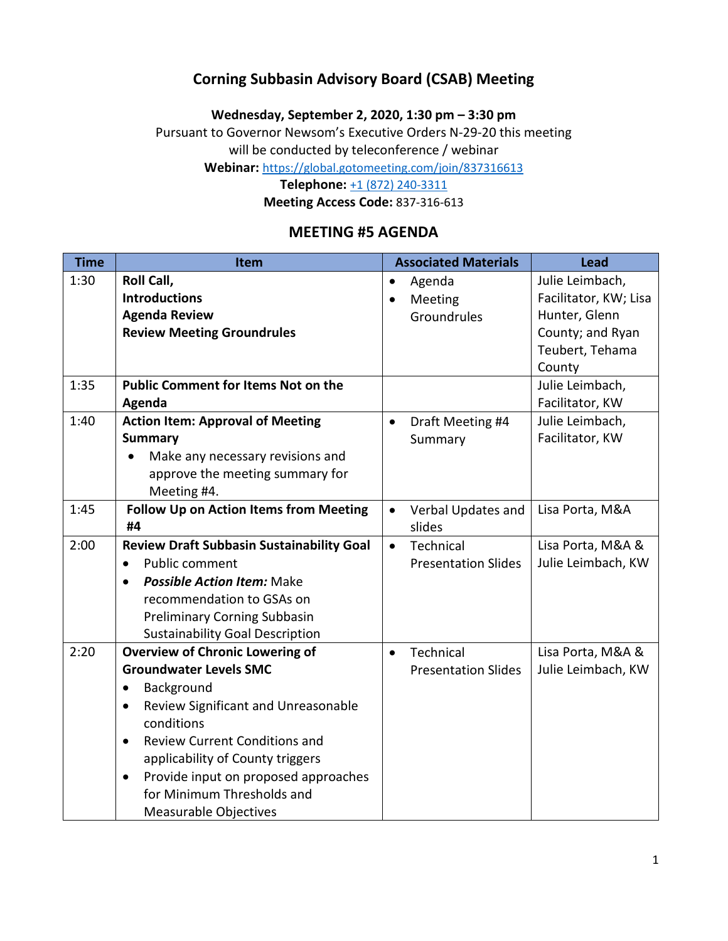### **Corning Subbasin Advisory Board (CSAB) Meeting**

**Wednesday, September 2, 2020, 1:30 pm – 3:30 pm**

Pursuant to Governor Newsom's Executive Orders N-29-20 this meeting

will be conducted by teleconference / webinar

**Webinar:** <https://global.gotomeeting.com/join/837316613>

**Telephone:** [+1 \(872\) 240-3311](tel:+18722403311,,837316613)

**Meeting Access Code:** 837-316-613

### **MEETING #5 AGENDA**

| <b>Time</b> | Item                                              |           | <b>Associated Materials</b> | <b>Lead</b>           |
|-------------|---------------------------------------------------|-----------|-----------------------------|-----------------------|
| 1:30        | Roll Call,                                        |           | Agenda                      | Julie Leimbach,       |
|             | <b>Introductions</b>                              |           | Meeting                     | Facilitator, KW; Lisa |
|             | <b>Agenda Review</b>                              |           | Groundrules                 | Hunter, Glenn         |
|             | <b>Review Meeting Groundrules</b>                 |           |                             | County; and Ryan      |
|             |                                                   |           |                             | Teubert, Tehama       |
|             |                                                   |           |                             | County                |
| 1:35        | <b>Public Comment for Items Not on the</b>        |           |                             | Julie Leimbach,       |
|             | Agenda                                            |           |                             | Facilitator, KW       |
| 1:40        | <b>Action Item: Approval of Meeting</b>           | $\bullet$ | Draft Meeting #4            | Julie Leimbach,       |
|             | <b>Summary</b>                                    |           | Summary                     | Facilitator, KW       |
|             | Make any necessary revisions and                  |           |                             |                       |
|             | approve the meeting summary for                   |           |                             |                       |
|             | Meeting #4.                                       |           |                             |                       |
| 1:45        | <b>Follow Up on Action Items from Meeting</b>     |           | Verbal Updates and          | Lisa Porta, M&A       |
|             | #4                                                |           | slides                      |                       |
| 2:00        | <b>Review Draft Subbasin Sustainability Goal</b>  | $\bullet$ | Technical                   | Lisa Porta, M&A &     |
|             | <b>Public comment</b><br>$\bullet$                |           | <b>Presentation Slides</b>  | Julie Leimbach, KW    |
|             | <b>Possible Action Item: Make</b><br>$\bullet$    |           |                             |                       |
|             | recommendation to GSAs on                         |           |                             |                       |
|             | <b>Preliminary Corning Subbasin</b>               |           |                             |                       |
|             | <b>Sustainability Goal Description</b>            |           |                             |                       |
| 2:20        | <b>Overview of Chronic Lowering of</b>            | $\bullet$ | Technical                   | Lisa Porta, M&A &     |
|             | <b>Groundwater Levels SMC</b>                     |           | <b>Presentation Slides</b>  | Julie Leimbach, KW    |
|             | Background<br>$\bullet$                           |           |                             |                       |
|             | Review Significant and Unreasonable<br>$\bullet$  |           |                             |                       |
|             | conditions                                        |           |                             |                       |
|             | <b>Review Current Conditions and</b><br>$\bullet$ |           |                             |                       |
|             | applicability of County triggers                  |           |                             |                       |
|             | Provide input on proposed approaches<br>$\bullet$ |           |                             |                       |
|             | for Minimum Thresholds and                        |           |                             |                       |
|             | <b>Measurable Objectives</b>                      |           |                             |                       |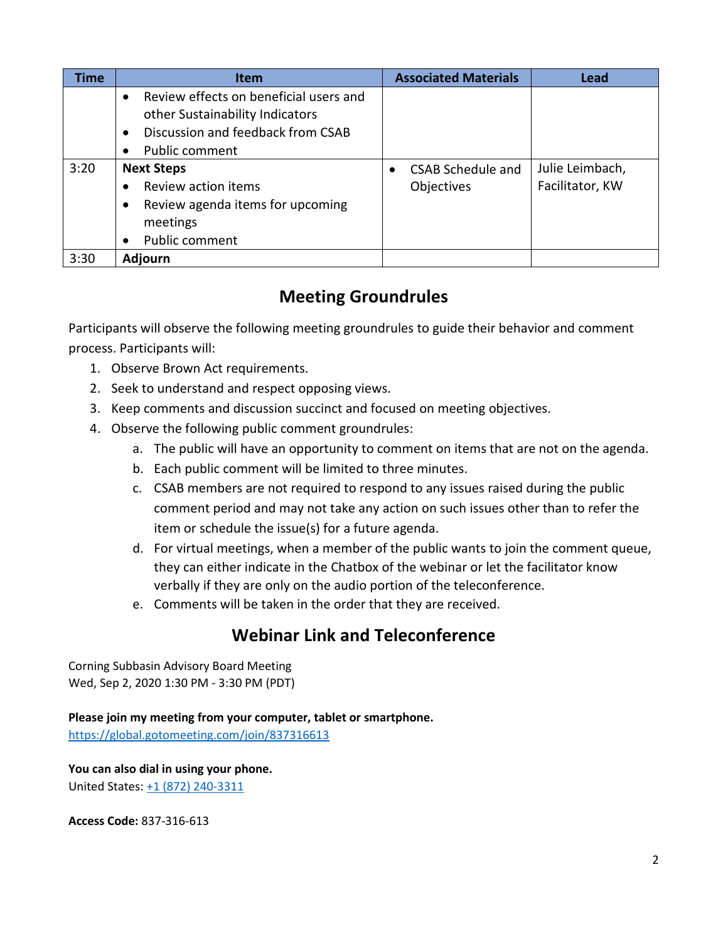| <b>Time</b> | <b>Item</b>                                         | <b>Associated Materials</b> | <b>Lead</b>     |
|-------------|-----------------------------------------------------|-----------------------------|-----------------|
|             | Review effects on beneficial users and<br>$\bullet$ |                             |                 |
|             | other Sustainability Indicators                     |                             |                 |
|             | Discussion and feedback from CSAB<br>$\bullet$      |                             |                 |
|             | <b>Public comment</b>                               |                             |                 |
| 3:20        | <b>Next Steps</b>                                   | <b>CSAB Schedule and</b>    | Julie Leimbach, |
|             | Review action items                                 | Objectives                  | Facilitator, KW |
|             | Review agenda items for upcoming<br>$\bullet$       |                             |                 |
|             | meetings                                            |                             |                 |
|             | Public comment<br>$\bullet$                         |                             |                 |
| 3:30        | <b>Adjourn</b>                                      |                             |                 |

# **Meeting Groundrules**

Participants will observe the following meeting groundrules to guide their behavior and comment process. Participants will:

- 1. Observe Brown Act requirements.
- 2. Seek to understand and respect opposing views.
- 3. Keep comments and discussion succinct and focused on meeting objectives.
- 4. Observe the following public comment groundrules:
	- a. The public will have an opportunity to comment on items that are not on the agenda.
	- b. Each public comment will be limited to three minutes.
	- c. CSAB members are not required to respond to any issues raised during the public comment period and may not take any action on such issues other than to refer the item or schedule the issue(s) for a future agenda.
	- d. For virtual meetings, when a member of the public wants to join the comment queue, they can either indicate in the Chatbox of the webinar or let the facilitator know verbally if they are only on the audio portion of the teleconference.
	- e. Comments will be taken in the order that they are received.

# **Webinar Link and Teleconference**

Corning Subbasin Advisory Board Meeting Wed, Sep 2, 2020 1:30 PM - 3:30 PM (PDT)

**Please join my meeting from your computer, tablet or smartphone.**  <https://global.gotomeeting.com/join/837316613>

**You can also dial in using your phone.** United States: [+1 \(872\) 240-3311](tel:+18722403311,,837316613)

**Access Code:** 837-316-613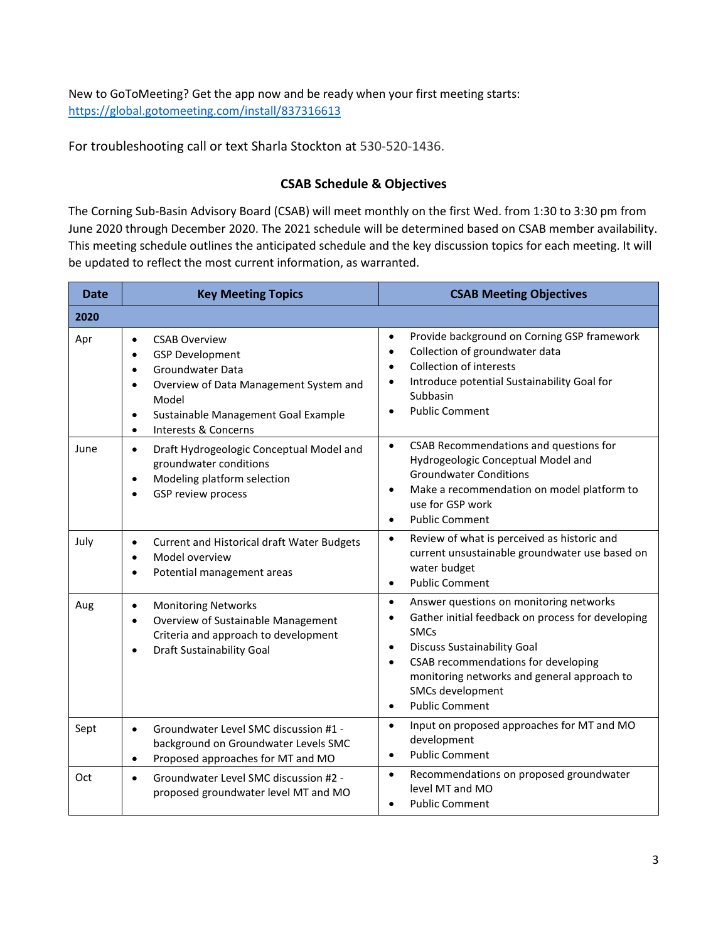New to GoToMeeting? Get the app now and be ready when your first meeting starts: <https://global.gotomeeting.com/install/837316613>

For troubleshooting call or text Sharla Stockton at 530-520-1436.

#### **CSAB Schedule & Objectives**

The Corning Sub-Basin Advisory Board (CSAB) will meet monthly on the first Wed. from 1:30 to 3:30 pm from June 2020 through December 2020. The 2021 schedule will be determined based on CSAB member availability. This meeting schedule outlines the anticipated schedule and the key discussion topics for each meeting. It will be updated to reflect the most current information, as warranted.

| <b>Date</b> | <b>Key Meeting Topics</b>                                                                                                                                                                                                                                          | <b>CSAB Meeting Objectives</b>                                                                                                                                                                                                                                                                                                           |
|-------------|--------------------------------------------------------------------------------------------------------------------------------------------------------------------------------------------------------------------------------------------------------------------|------------------------------------------------------------------------------------------------------------------------------------------------------------------------------------------------------------------------------------------------------------------------------------------------------------------------------------------|
| 2020        |                                                                                                                                                                                                                                                                    |                                                                                                                                                                                                                                                                                                                                          |
| Apr         | <b>CSAB Overview</b><br>$\bullet$<br><b>GSP Development</b><br>$\bullet$<br>Groundwater Data<br>$\bullet$<br>Overview of Data Management System and<br>$\bullet$<br>Model<br>Sustainable Management Goal Example<br>$\bullet$<br>Interests & Concerns<br>$\bullet$ | Provide background on Corning GSP framework<br>$\bullet$<br>Collection of groundwater data<br>$\bullet$<br><b>Collection of interests</b><br>$\bullet$<br>Introduce potential Sustainability Goal for<br>$\bullet$<br>Subbasin<br><b>Public Comment</b>                                                                                  |
| June        | Draft Hydrogeologic Conceptual Model and<br>$\bullet$<br>groundwater conditions<br>Modeling platform selection<br>$\bullet$<br>GSP review process<br>$\bullet$                                                                                                     | CSAB Recommendations and questions for<br>$\bullet$<br>Hydrogeologic Conceptual Model and<br><b>Groundwater Conditions</b><br>Make a recommendation on model platform to<br>$\bullet$<br>use for GSP work<br><b>Public Comment</b><br>$\bullet$                                                                                          |
| July        | Current and Historical draft Water Budgets<br>$\bullet$<br>Model overview<br>$\bullet$<br>Potential management areas<br>$\bullet$                                                                                                                                  | Review of what is perceived as historic and<br>$\bullet$<br>current unsustainable groundwater use based on<br>water budget<br><b>Public Comment</b><br>$\bullet$                                                                                                                                                                         |
| Aug         | <b>Monitoring Networks</b><br>$\bullet$<br>Overview of Sustainable Management<br>$\bullet$<br>Criteria and approach to development<br><b>Draft Sustainability Goal</b><br>$\bullet$                                                                                | Answer questions on monitoring networks<br>$\bullet$<br>Gather initial feedback on process for developing<br><b>SMCs</b><br><b>Discuss Sustainability Goal</b><br>$\bullet$<br>CSAB recommendations for developing<br>$\bullet$<br>monitoring networks and general approach to<br>SMCs development<br><b>Public Comment</b><br>$\bullet$ |
| Sept        | Groundwater Level SMC discussion #1 -<br>$\bullet$<br>background on Groundwater Levels SMC<br>Proposed approaches for MT and MO<br>$\bullet$                                                                                                                       | Input on proposed approaches for MT and MO<br>$\bullet$<br>development<br><b>Public Comment</b><br>$\bullet$                                                                                                                                                                                                                             |
| Oct         | Groundwater Level SMC discussion #2 -<br>$\bullet$<br>proposed groundwater level MT and MO                                                                                                                                                                         | Recommendations on proposed groundwater<br>$\bullet$<br>level MT and MO<br><b>Public Comment</b>                                                                                                                                                                                                                                         |